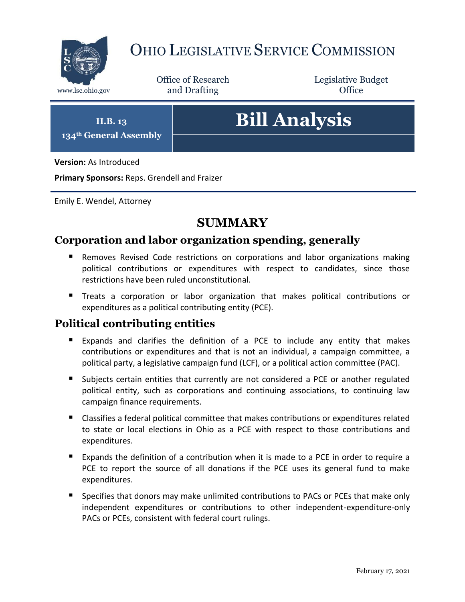

## OHIO LEGISLATIVE SERVICE COMMISSION

Office of Research www.lsc.ohio.gov **and Drafting Office** 

Legislative Budget

**H.B. 13 134th General Assembly**

# **Bill Analysis**

**Version:** As Introduced

**Primary Sponsors:** Reps. Grendell and Fraizer

Emily E. Wendel, Attorney

## **SUMMARY**

#### **Corporation and labor organization spending, generally**

- **Removes Revised Code restrictions on corporations and labor organizations making** political contributions or expenditures with respect to candidates, since those restrictions have been ruled unconstitutional.
- Treats a corporation or labor organization that makes political contributions or expenditures as a political contributing entity (PCE).

#### **Political contributing entities**

- Expands and clarifies the definition of a PCE to include any entity that makes contributions or expenditures and that is not an individual, a campaign committee, a political party, a legislative campaign fund (LCF), or a political action committee (PAC).
- Subjects certain entities that currently are not considered a PCE or another regulated political entity, such as corporations and continuing associations, to continuing law campaign finance requirements.
- Classifies a federal political committee that makes contributions or expenditures related to state or local elections in Ohio as a PCE with respect to those contributions and expenditures.
- Expands the definition of a contribution when it is made to a PCE in order to require a PCE to report the source of all donations if the PCE uses its general fund to make expenditures.
- **Specifies that donors may make unlimited contributions to PACs or PCEs that make only** independent expenditures or contributions to other independent-expenditure-only PACs or PCEs, consistent with federal court rulings.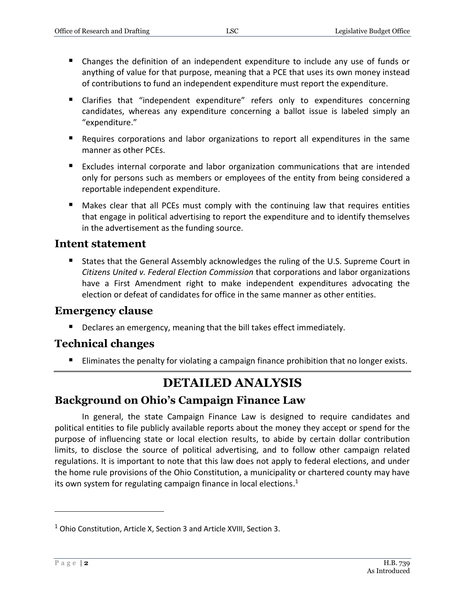- Changes the definition of an independent expenditure to include any use of funds or anything of value for that purpose, meaning that a PCE that uses its own money instead of contributions to fund an independent expenditure must report the expenditure.
- **E** Clarifies that "independent expenditure" refers only to expenditures concerning candidates, whereas any expenditure concerning a ballot issue is labeled simply an "expenditure."
- Requires corporations and labor organizations to report all expenditures in the same manner as other PCEs.
- **Excludes internal corporate and labor organization communications that are intended** only for persons such as members or employees of the entity from being considered a reportable independent expenditure.
- Makes clear that all PCEs must comply with the continuing law that requires entities that engage in political advertising to report the expenditure and to identify themselves in the advertisement as the funding source.

#### **Intent statement**

 States that the General Assembly acknowledges the ruling of the U.S. Supreme Court in *Citizens United v. Federal Election Commission* that corporations and labor organizations have a First Amendment right to make independent expenditures advocating the election or defeat of candidates for office in the same manner as other entities.

#### **Emergency clause**

**Declares an emergency, meaning that the bill takes effect immediately.** 

### **Technical changes**

Eliminates the penalty for violating a campaign finance prohibition that no longer exists.

## **DETAILED ANALYSIS**

## **Background on Ohio's Campaign Finance Law**

In general, the state Campaign Finance Law is designed to require candidates and political entities to file publicly available reports about the money they accept or spend for the purpose of influencing state or local election results, to abide by certain dollar contribution limits, to disclose the source of political advertising, and to follow other campaign related regulations. It is important to note that this law does not apply to federal elections, and under the home rule provisions of the Ohio Constitution, a municipality or chartered county may have its own system for regulating campaign finance in local elections.<sup>1</sup>

<sup>&</sup>lt;sup>1</sup> Ohio Constitution, Article X, Section 3 and Article XVIII, Section 3.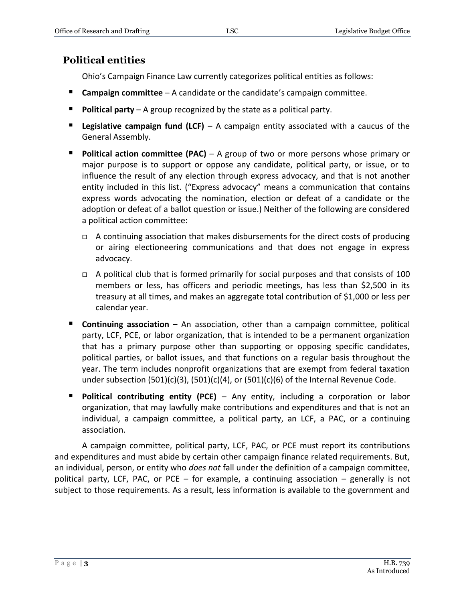#### **Political entities**

Ohio's Campaign Finance Law currently categorizes political entities as follows:

- **Campaign committee** A candidate or the candidate's campaign committee.
- **Political party** A group recognized by the state as a political party.
- **Legislative campaign fund (LCF)** A campaign entity associated with a caucus of the General Assembly.
- **Political action committee (PAC)** A group of two or more persons whose primary or major purpose is to support or oppose any candidate, political party, or issue, or to influence the result of any election through express advocacy, and that is not another entity included in this list. ("Express advocacy" means a communication that contains express words advocating the nomination, election or defeat of a candidate or the adoption or defeat of a ballot question or issue.) Neither of the following are considered a political action committee:
	- $\Box$  A continuing association that makes disbursements for the direct costs of producing or airing electioneering communications and that does not engage in express advocacy.
	- $\Box$  A political club that is formed primarily for social purposes and that consists of 100 members or less, has officers and periodic meetings, has less than \$2,500 in its treasury at all times, and makes an aggregate total contribution of \$1,000 or less per calendar year.
- **Continuing association**  An association, other than a campaign committee, political party, LCF, PCE, or labor organization, that is intended to be a permanent organization that has a primary purpose other than supporting or opposing specific candidates, political parties, or ballot issues, and that functions on a regular basis throughout the year. The term includes nonprofit organizations that are exempt from federal taxation under subsection  $(501)(c)(3)$ ,  $(501)(c)(4)$ , or  $(501)(c)(6)$  of the Internal Revenue Code.
- **Political contributing entity (PCE)** Any entity, including a corporation or labor organization, that may lawfully make contributions and expenditures and that is not an individual, a campaign committee, a political party, an LCF, a PAC, or a continuing association.

A campaign committee, political party, LCF, PAC, or PCE must report its contributions and expenditures and must abide by certain other campaign finance related requirements. But, an individual, person, or entity who *does not* fall under the definition of a campaign committee, political party, LCF, PAC, or PCE – for example, a continuing association – generally is not subject to those requirements. As a result, less information is available to the government and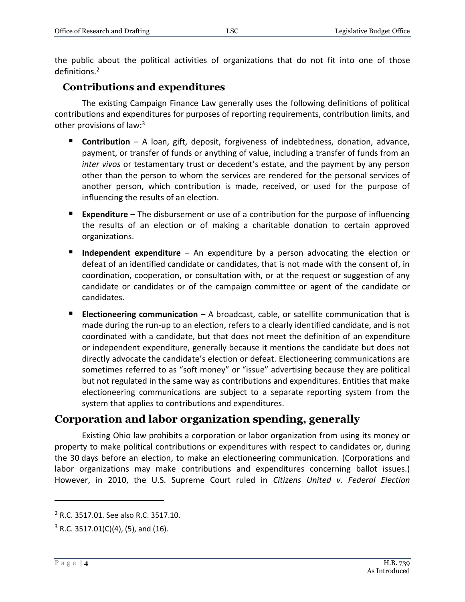the public about the political activities of organizations that do not fit into one of those definitions.<sup>2</sup>

#### **Contributions and expenditures**

The existing Campaign Finance Law generally uses the following definitions of political contributions and expenditures for purposes of reporting requirements, contribution limits, and other provisions of law:<sup>3</sup>

- **Contribution** A loan, gift, deposit, forgiveness of indebtedness, donation, advance, payment, or transfer of funds or anything of value, including a transfer of funds from an *inter vivos* or testamentary trust or decedent's estate, and the payment by any person other than the person to whom the services are rendered for the personal services of another person, which contribution is made, received, or used for the purpose of influencing the results of an election.
- **Expenditure** The disbursement or use of a contribution for the purpose of influencing the results of an election or of making a charitable donation to certain approved organizations.
- **Independent expenditure** An expenditure by a person advocating the election or defeat of an identified candidate or candidates, that is not made with the consent of, in coordination, cooperation, or consultation with, or at the request or suggestion of any candidate or candidates or of the campaign committee or agent of the candidate or candidates.
- **Electioneering communication** A broadcast, cable, or satellite communication that is made during the run-up to an election, refers to a clearly identified candidate, and is not coordinated with a candidate, but that does not meet the definition of an expenditure or independent expenditure, generally because it mentions the candidate but does not directly advocate the candidate's election or defeat. Electioneering communications are sometimes referred to as "soft money" or "issue" advertising because they are political but not regulated in the same way as contributions and expenditures. Entities that make electioneering communications are subject to a separate reporting system from the system that applies to contributions and expenditures.

#### **Corporation and labor organization spending, generally**

Existing Ohio law prohibits a corporation or labor organization from using its money or property to make political contributions or expenditures with respect to candidates or, during the 30 days before an election, to make an electioneering communication. (Corporations and labor organizations may make contributions and expenditures concerning ballot issues.) However, in 2010, the U.S. Supreme Court ruled in *Citizens United v. Federal Election* 

<sup>2</sup> R.C. 3517.01. See also R.C. 3517.10.

 $3$  R.C. 3517.01(C)(4), (5), and (16).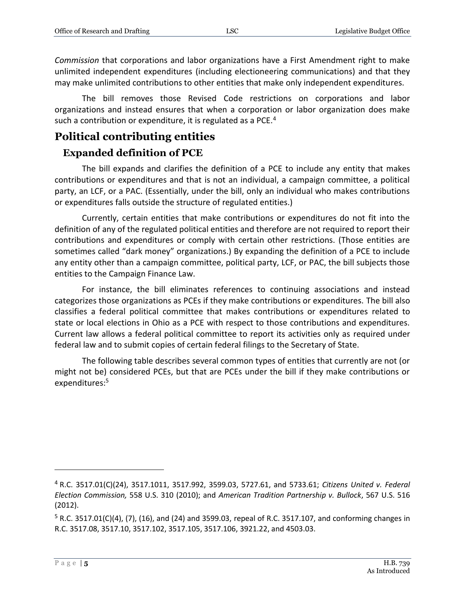*Commission* that corporations and labor organizations have a First Amendment right to make unlimited independent expenditures (including electioneering communications) and that they may make unlimited contributions to other entities that make only independent expenditures.

The bill removes those Revised Code restrictions on corporations and labor organizations and instead ensures that when a corporation or labor organization does make such a contribution or expenditure, it is regulated as a PCE.<sup>4</sup>

#### **Political contributing entities**

#### **Expanded definition of PCE**

The bill expands and clarifies the definition of a PCE to include any entity that makes contributions or expenditures and that is not an individual, a campaign committee, a political party, an LCF, or a PAC. (Essentially, under the bill, only an individual who makes contributions or expenditures falls outside the structure of regulated entities.)

Currently, certain entities that make contributions or expenditures do not fit into the definition of any of the regulated political entities and therefore are not required to report their contributions and expenditures or comply with certain other restrictions. (Those entities are sometimes called "dark money" organizations.) By expanding the definition of a PCE to include any entity other than a campaign committee, political party, LCF, or PAC, the bill subjects those entities to the Campaign Finance Law.

For instance, the bill eliminates references to continuing associations and instead categorizes those organizations as PCEs if they make contributions or expenditures. The bill also classifies a federal political committee that makes contributions or expenditures related to state or local elections in Ohio as a PCE with respect to those contributions and expenditures. Current law allows a federal political committee to report its activities only as required under federal law and to submit copies of certain federal filings to the Secretary of State.

The following table describes several common types of entities that currently are not (or might not be) considered PCEs, but that are PCEs under the bill if they make contributions or expenditures:<sup>5</sup>

<sup>4</sup> R.C. 3517.01(C)(24), 3517.1011, 3517.992, 3599.03, 5727.61, and 5733.61; *Citizens United v. Federal Election Commission,* 558 U.S. 310 (2010); and *American Tradition Partnership v. Bullock*, 567 U.S. 516 (2012).

 $5$  R.C. 3517.01(C)(4), (7), (16), and (24) and 3599.03, repeal of R.C. 3517.107, and conforming changes in R.C. 3517.08, 3517.10, 3517.102, 3517.105, 3517.106, 3921.22, and 4503.03.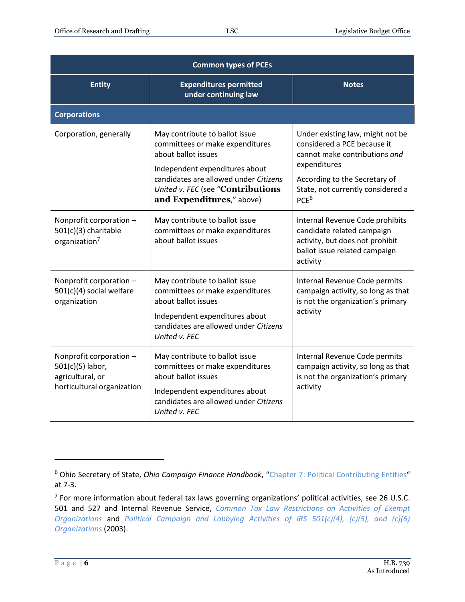| <b>Common types of PCEs</b>                                                                   |                                                                                                                                                                                                                                       |                                                                                                                                                                                                            |  |  |
|-----------------------------------------------------------------------------------------------|---------------------------------------------------------------------------------------------------------------------------------------------------------------------------------------------------------------------------------------|------------------------------------------------------------------------------------------------------------------------------------------------------------------------------------------------------------|--|--|
| <b>Entity</b>                                                                                 | <b>Expenditures permitted</b><br>under continuing law                                                                                                                                                                                 | <b>Notes</b>                                                                                                                                                                                               |  |  |
| <b>Corporations</b>                                                                           |                                                                                                                                                                                                                                       |                                                                                                                                                                                                            |  |  |
| Corporation, generally                                                                        | May contribute to ballot issue<br>committees or make expenditures<br>about ballot issues<br>Independent expenditures about<br>candidates are allowed under Citizens<br>United v. FEC (see "Contributions<br>and Expenditures," above) | Under existing law, might not be<br>considered a PCE because it<br>cannot make contributions and<br>expenditures<br>According to the Secretary of<br>State, not currently considered a<br>PCE <sup>6</sup> |  |  |
| Nonprofit corporation -<br>501(c)(3) charitable<br>organization <sup>7</sup>                  | May contribute to ballot issue<br>committees or make expenditures<br>about ballot issues                                                                                                                                              | Internal Revenue Code prohibits<br>candidate related campaign<br>activity, but does not prohibit<br>ballot issue related campaign<br>activity                                                              |  |  |
| Nonprofit corporation -<br>$501(c)(4)$ social welfare<br>organization                         | May contribute to ballot issue<br>committees or make expenditures<br>about ballot issues<br>Independent expenditures about<br>candidates are allowed under Citizens<br>United v. FEC                                                  | Internal Revenue Code permits<br>campaign activity, so long as that<br>is not the organization's primary<br>activity                                                                                       |  |  |
| Nonprofit corporation -<br>501(c)(5) labor,<br>agricultural, or<br>horticultural organization | May contribute to ballot issue<br>committees or make expenditures<br>about ballot issues<br>Independent expenditures about<br>candidates are allowed under Citizens<br>United v. FEC                                                  | Internal Revenue Code permits<br>campaign activity, so long as that<br>is not the organization's primary<br>activity                                                                                       |  |  |

<sup>6</sup> Ohio Secretary of State, *Ohio Campaign Finance Handbook*, "[Chapter 7: Political Contributing Entities](http://ohiosecretaryofstate.gov/globalassets/candidates/cfguide/chapters/chapter7.pdf)" at 7-3.

<sup>&</sup>lt;sup>7</sup> For more information about federal tax laws governing organizations' political activities, see 26 U.S.C. 501 and 527 and Internal Revenue Service, *[Common Tax Law Restrictions on Activities of Exempt](https://www.irs.gov/charities-non-profits/common-tax-law-restrictions-on-activities-of-exempt-organizations)  [Organizations](https://www.irs.gov/charities-non-profits/common-tax-law-restrictions-on-activities-of-exempt-organizations)* and *[Political Campaign and Lobbying Activities of IRS 501\(c\)\(4\), \(c\)\(5\), and \(c\)\(6\)](https://www.irs.gov/pub/irs-tege/eotopicl03.pdf)  [Organizations](https://www.irs.gov/pub/irs-tege/eotopicl03.pdf)* (2003).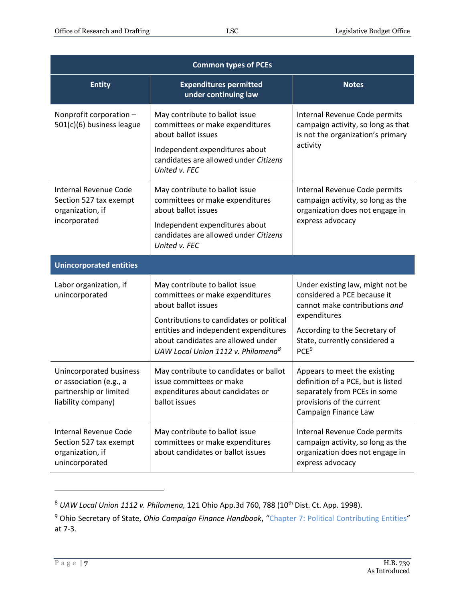| <b>Common types of PCEs</b>                                                                        |                                                                                                                                                                                                                                                                       |                                                                                                                                                                                                        |  |
|----------------------------------------------------------------------------------------------------|-----------------------------------------------------------------------------------------------------------------------------------------------------------------------------------------------------------------------------------------------------------------------|--------------------------------------------------------------------------------------------------------------------------------------------------------------------------------------------------------|--|
| <b>Entity</b>                                                                                      | <b>Expenditures permitted</b><br>under continuing law                                                                                                                                                                                                                 | <b>Notes</b>                                                                                                                                                                                           |  |
| Nonprofit corporation -<br>501(c)(6) business league                                               | May contribute to ballot issue<br>committees or make expenditures<br>about ballot issues<br>Independent expenditures about<br>candidates are allowed under Citizens<br>United v. FEC                                                                                  | Internal Revenue Code permits<br>campaign activity, so long as that<br>is not the organization's primary<br>activity                                                                                   |  |
| <b>Internal Revenue Code</b><br>Section 527 tax exempt<br>organization, if<br>incorporated         | May contribute to ballot issue<br>committees or make expenditures<br>about ballot issues<br>Independent expenditures about<br>candidates are allowed under Citizens<br>United v. FEC                                                                                  | Internal Revenue Code permits<br>campaign activity, so long as the<br>organization does not engage in<br>express advocacy                                                                              |  |
| <b>Unincorporated entities</b>                                                                     |                                                                                                                                                                                                                                                                       |                                                                                                                                                                                                        |  |
| Labor organization, if<br>unincorporated                                                           | May contribute to ballot issue<br>committees or make expenditures<br>about ballot issues<br>Contributions to candidates or political<br>entities and independent expenditures<br>about candidates are allowed under<br>UAW Local Union 1112 v. Philomena <sup>8</sup> | Under existing law, might not be<br>considered a PCE because it<br>cannot make contributions and<br>expenditures<br>According to the Secretary of<br>State, currently considered a<br>PCE <sup>9</sup> |  |
| Unincorporated business<br>or association (e.g., a<br>partnership or limited<br>liability company) | May contribute to candidates or ballot<br>issue committees or make<br>expenditures about candidates or<br>ballot issues                                                                                                                                               | Appears to meet the existing<br>definition of a PCE, but is listed<br>separately from PCEs in some<br>provisions of the current<br>Campaign Finance Law                                                |  |
| Internal Revenue Code<br>Section 527 tax exempt<br>organization, if<br>unincorporated              | May contribute to ballot issue<br>committees or make expenditures<br>about candidates or ballot issues                                                                                                                                                                | Internal Revenue Code permits<br>campaign activity, so long as the<br>organization does not engage in<br>express advocacy                                                                              |  |

<sup>8</sup> *UAW Local Union 1112 v. Philomena,* 121 Ohio App.3d 760, 788 (10th Dist. Ct. App. 1998).

<sup>9</sup> Ohio Secretary of State, *Ohio Campaign Finance Handbook*, "[Chapter 7: Political Contributing Entities](http://https/www.ohiosecretaryofstate.gov/globalassets/candidates/cfguide/chapters/chapter7.pdf)" at 7-3.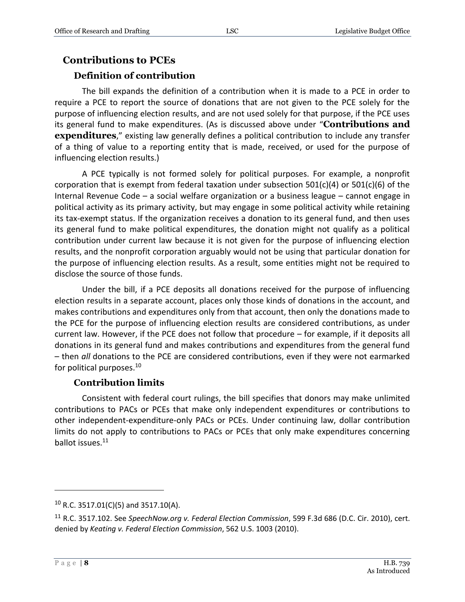#### **Contributions to PCEs Definition of contribution**

The bill expands the definition of a contribution when it is made to a PCE in order to require a PCE to report the source of donations that are not given to the PCE solely for the purpose of influencing election results, and are not used solely for that purpose, if the PCE uses its general fund to make expenditures. (As is discussed above under "**Contributions and expenditures**," existing law generally defines a political contribution to include any transfer of a thing of value to a reporting entity that is made, received, or used for the purpose of influencing election results.)

A PCE typically is not formed solely for political purposes. For example, a nonprofit corporation that is exempt from federal taxation under subsection  $501(c)(4)$  or  $501(c)(6)$  of the Internal Revenue Code – a social welfare organization or a business league – cannot engage in political activity as its primary activity, but may engage in some political activity while retaining its tax-exempt status. If the organization receives a donation to its general fund, and then uses its general fund to make political expenditures, the donation might not qualify as a political contribution under current law because it is not given for the purpose of influencing election results, and the nonprofit corporation arguably would not be using that particular donation for the purpose of influencing election results. As a result, some entities might not be required to disclose the source of those funds.

Under the bill, if a PCE deposits all donations received for the purpose of influencing election results in a separate account, places only those kinds of donations in the account, and makes contributions and expenditures only from that account, then only the donations made to the PCE for the purpose of influencing election results are considered contributions, as under current law. However, if the PCE does not follow that procedure – for example, if it deposits all donations in its general fund and makes contributions and expenditures from the general fund – then *all* donations to the PCE are considered contributions, even if they were not earmarked for political purposes.<sup>10</sup>

#### **Contribution limits**

Consistent with federal court rulings, the bill specifies that donors may make unlimited contributions to PACs or PCEs that make only independent expenditures or contributions to other independent-expenditure-only PACs or PCEs. Under continuing law, dollar contribution limits do not apply to contributions to PACs or PCEs that only make expenditures concerning ballot issues.<sup>11</sup>

 $10$  R.C. 3517.01(C)(5) and 3517.10(A).

<sup>11</sup> R.C. 3517.102. See *SpeechNow.org v. Federal Election Commission*, 599 F.3d 686 (D.C. Cir. 2010), cert. denied by *Keating v. Federal Election Commission*, 562 U.S. 1003 (2010).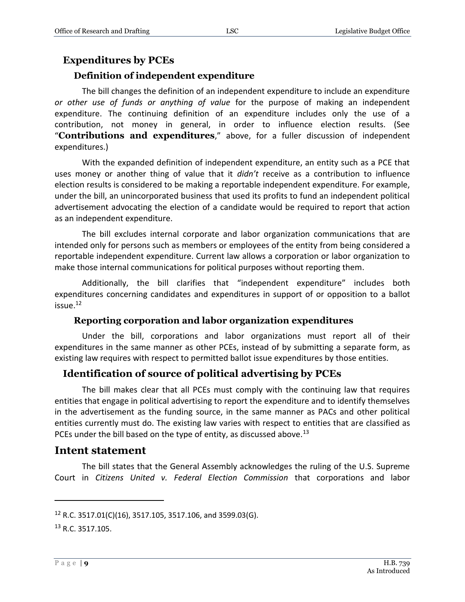#### **Expenditures by PCEs**

#### **Definition of independent expenditure**

The bill changes the definition of an independent expenditure to include an expenditure *or other use of funds or anything of value* for the purpose of making an independent expenditure. The continuing definition of an expenditure includes only the use of a contribution, not money in general, in order to influence election results. (See "**Contributions and expenditures**," above, for a fuller discussion of independent expenditures.)

With the expanded definition of independent expenditure, an entity such as a PCE that uses money or another thing of value that it *didn't* receive as a contribution to influence election results is considered to be making a reportable independent expenditure. For example, under the bill, an unincorporated business that used its profits to fund an independent political advertisement advocating the election of a candidate would be required to report that action as an independent expenditure.

The bill excludes internal corporate and labor organization communications that are intended only for persons such as members or employees of the entity from being considered a reportable independent expenditure. Current law allows a corporation or labor organization to make those internal communications for political purposes without reporting them.

Additionally, the bill clarifies that "independent expenditure" includes both expenditures concerning candidates and expenditures in support of or opposition to a ballot issue. 12

#### **Reporting corporation and labor organization expenditures**

Under the bill, corporations and labor organizations must report all of their expenditures in the same manner as other PCEs, instead of by submitting a separate form, as existing law requires with respect to permitted ballot issue expenditures by those entities.

#### **Identification of source of political advertising by PCEs**

The bill makes clear that all PCEs must comply with the continuing law that requires entities that engage in political advertising to report the expenditure and to identify themselves in the advertisement as the funding source, in the same manner as PACs and other political entities currently must do. The existing law varies with respect to entities that are classified as PCEs under the bill based on the type of entity, as discussed above.<sup>13</sup>

#### **Intent statement**

The bill states that the General Assembly acknowledges the ruling of the U.S. Supreme Court in *Citizens United v. Federal Election Commission* that corporations and labor

<sup>12</sup> R.C. 3517.01(C)(16), 3517.105, 3517.106, and 3599.03(G).

<sup>13</sup> R.C. 3517.105.